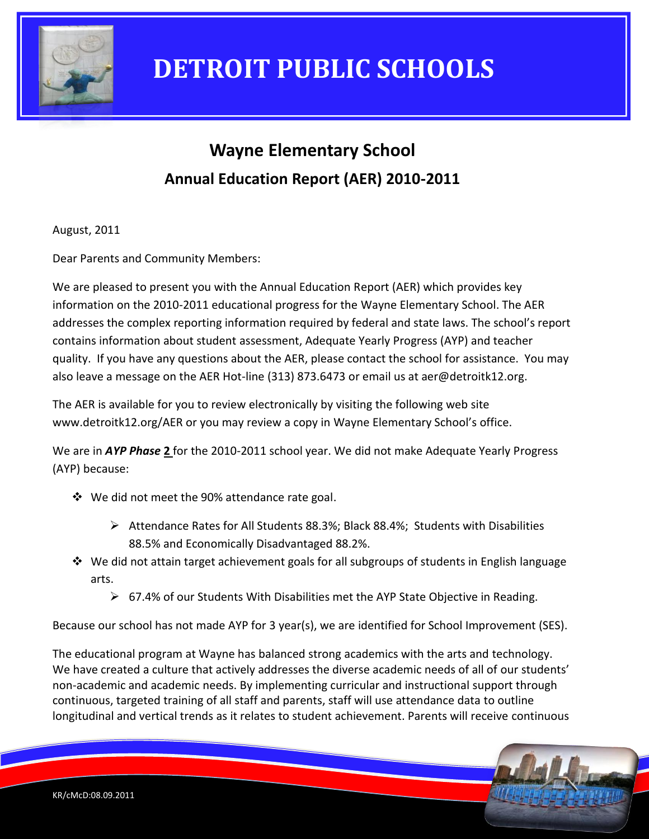

### **Wayne Elementary School Annual Education Report (AER) 2010-2011**

August, 2011

Dear Parents and Community Members:

We are pleased to present you with the Annual Education Report (AER) which provides key information on the 2010-2011 educational progress for the Wayne Elementary School. The AER addresses the complex reporting information required by federal and state laws. The school's report contains information about student assessment, Adequate Yearly Progress (AYP) and teacher quality. If you have any questions about the AER, please contact the school for assistance. You may also leave a message on the AER Hot-line (313) 873.6473 or email us at aer@detroitk12.org.

The AER is available for you to review electronically by visiting the following web site www.detroitk12.org/AER or you may review a copy in Wayne Elementary School's office.

We are in *AYP Phase* **2** for the 2010-2011 school year. We did not make Adequate Yearly Progress (AYP) because:

- We did not meet the 90% attendance rate goal.
	- $\triangleright$  Attendance Rates for All Students 88.3%; Black 88.4%; Students with Disabilities 88.5% and Economically Disadvantaged 88.2%.
- $\div$  We did not attain target achievement goals for all subgroups of students in English language arts.
	- $\triangleright$  67.4% of our Students With Disabilities met the AYP State Objective in Reading.

Because our school has not made AYP for 3 year(s), we are identified for School Improvement (SES).

The educational program at Wayne has balanced strong academics with the arts and technology. We have created a culture that actively addresses the diverse academic needs of all of our students' non-academic and academic needs. By implementing curricular and instructional support through continuous, targeted training of all staff and parents, staff will use attendance data to outline longitudinal and vertical trends as it relates to student achievement. Parents will receive continuous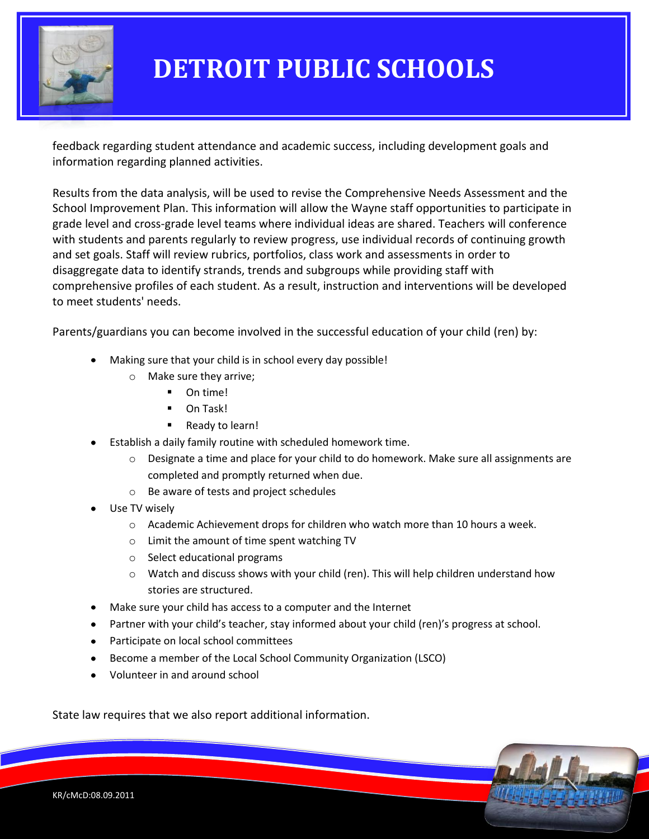

feedback regarding student attendance and academic success, including development goals and information regarding planned activities.

Results from the data analysis, will be used to revise the Comprehensive Needs Assessment and the School Improvement Plan. This information will allow the Wayne staff opportunities to participate in grade level and cross-grade level teams where individual ideas are shared. Teachers will conference with students and parents regularly to review progress, use individual records of continuing growth and set goals. Staff will review rubrics, portfolios, class work and assessments in order to disaggregate data to identify strands, trends and subgroups while providing staff with comprehensive profiles of each student. As a result, instruction and interventions will be developed to meet students' needs.

Parents/guardians you can become involved in the successful education of your child (ren) by:

- Making sure that your child is in school every day possible!
	- o Make sure they arrive;
		- On time!
		- **D** On Task!
		- Ready to learn!
- Establish a daily family routine with scheduled homework time.
	- $\circ$  Designate a time and place for your child to do homework. Make sure all assignments are completed and promptly returned when due.
	- o Be aware of tests and project schedules
- Use TV wisely
	- o Academic Achievement drops for children who watch more than 10 hours a week.
	- o Limit the amount of time spent watching TV
	- o Select educational programs
	- $\circ$  Watch and discuss shows with your child (ren). This will help children understand how stories are structured.
- Make sure your child has access to a computer and the Internet
- Partner with your child's teacher, stay informed about your child (ren)'s progress at school.
- Participate on local school committees
- Become a member of the Local School Community Organization (LSCO)
- Volunteer in and around school

State law requires that we also report additional information.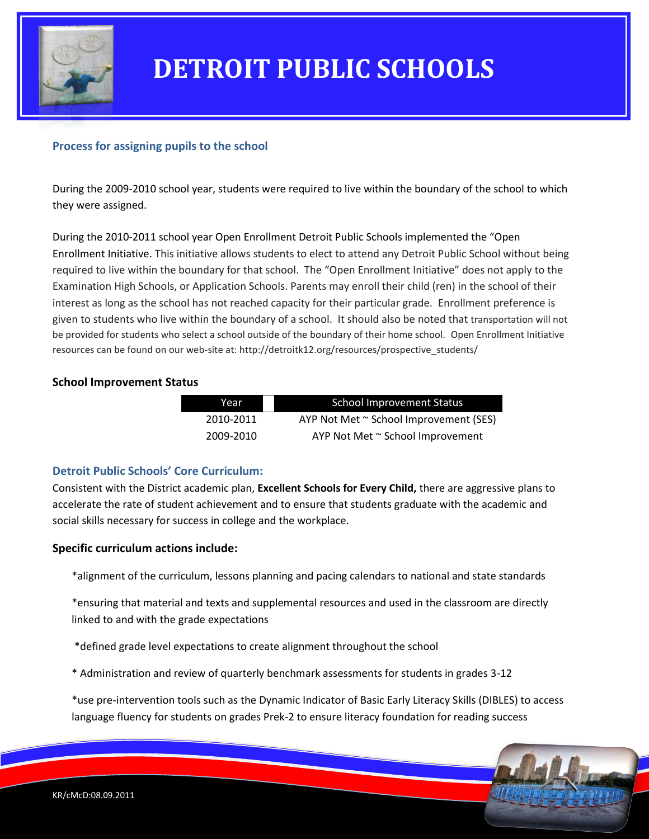

### **Process for assigning pupils to the school**

During the 2009-2010 school year, students were required to live within the boundary of the school to which they were assigned.

During the 2010-2011 school year Open Enrollment Detroit Public Schools implemented the "Open Enrollment Initiative. This initiative allows students to elect to attend any Detroit Public School without being required to live within the boundary for that school. The "Open Enrollment Initiative" does not apply to the Examination High Schools, or Application Schools. Parents may enroll their child (ren) in the school of their interest as long as the school has not reached capacity for their particular grade. Enrollment preference is given to students who live within the boundary of a school. It should also be noted that transportation will not be provided for students who select a school outside of the boundary of their home school. Open Enrollment Initiative resources can be found on our web-site at: http://detroitk12.org/resources/prospective\_students/

#### **School Improvement Status**

| <b>School Improvement Status</b>       | Year      |
|----------------------------------------|-----------|
|                                        |           |
| AYP Not Met ~ School Improvement (SES) | 2010-2011 |
|                                        |           |
| AYP Not Met ~ School Improvement       | 2009-2010 |
|                                        |           |

#### **Detroit Public Schools' Core Curriculum:**

Consistent with the District academic plan, **Excellent Schools for Every Child,** there are aggressive plans to accelerate the rate of student achievement and to ensure that students graduate with the academic and social skills necessary for success in college and the workplace.

#### **Specific curriculum actions include:**

\*alignment of the curriculum, lessons planning and pacing calendars to national and state standards

\*ensuring that material and texts and supplemental resources and used in the classroom are directly linked to and with the grade expectations

\*defined grade level expectations to create alignment throughout the school

\* Administration and review of quarterly benchmark assessments for students in grades 3-12

\*use pre-intervention tools such as the Dynamic Indicator of Basic Early Literacy Skills (DIBLES) to access language fluency for students on grades Prek-2 to ensure literacy foundation for reading success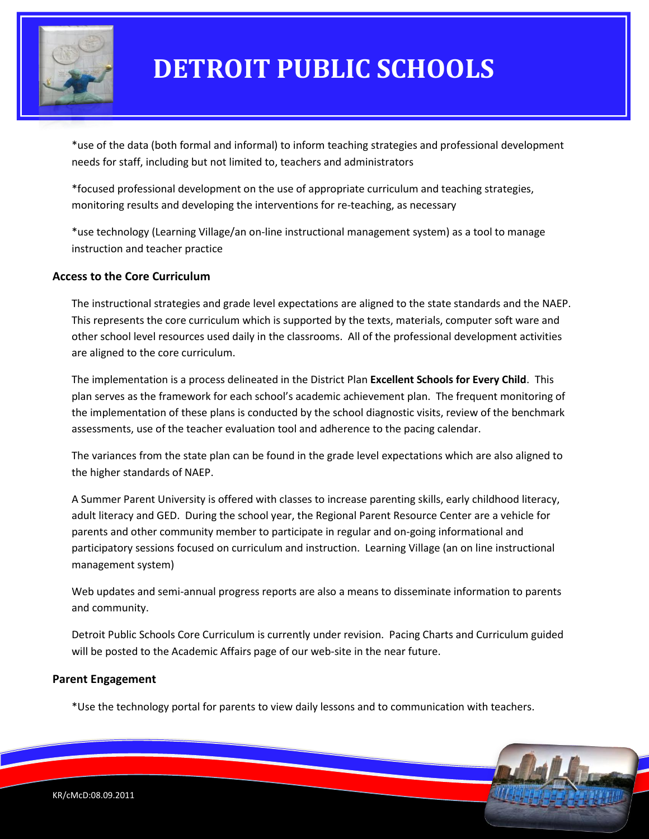

\*use of the data (both formal and informal) to inform teaching strategies and professional development needs for staff, including but not limited to, teachers and administrators

\*focused professional development on the use of appropriate curriculum and teaching strategies, monitoring results and developing the interventions for re-teaching, as necessary

\*use technology (Learning Village/an on-line instructional management system) as a tool to manage instruction and teacher practice

### **Access to the Core Curriculum**

The instructional strategies and grade level expectations are aligned to the state standards and the NAEP. This represents the core curriculum which is supported by the texts, materials, computer soft ware and other school level resources used daily in the classrooms. All of the professional development activities are aligned to the core curriculum.

The implementation is a process delineated in the District Plan **Excellent Schools for Every Child**. This plan serves as the framework for each school's academic achievement plan. The frequent monitoring of the implementation of these plans is conducted by the school diagnostic visits, review of the benchmark assessments, use of the teacher evaluation tool and adherence to the pacing calendar.

The variances from the state plan can be found in the grade level expectations which are also aligned to the higher standards of NAEP.

A Summer Parent University is offered with classes to increase parenting skills, early childhood literacy, adult literacy and GED. During the school year, the Regional Parent Resource Center are a vehicle for parents and other community member to participate in regular and on-going informational and participatory sessions focused on curriculum and instruction. Learning Village (an on line instructional management system)

Web updates and semi-annual progress reports are also a means to disseminate information to parents and community.

Detroit Public Schools Core Curriculum is currently under revision. Pacing Charts and Curriculum guided will be posted to the Academic Affairs page of our web-site in the near future.

#### **Parent Engagement**

\*Use the technology portal for parents to view daily lessons and to communication with teachers.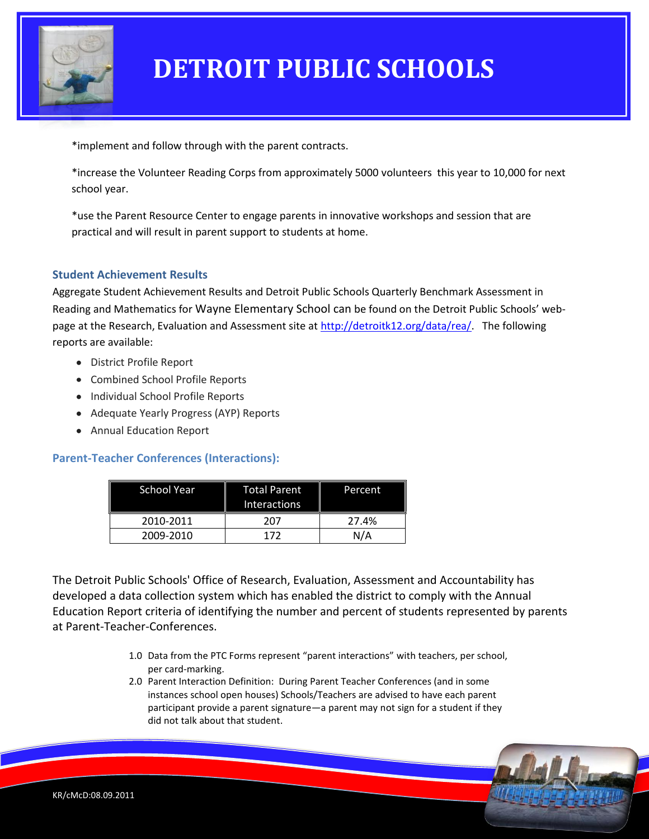

\*implement and follow through with the parent contracts.

\*increase the Volunteer Reading Corps from approximately 5000 volunteers this year to 10,000 for next school year.

\*use the Parent Resource Center to engage parents in innovative workshops and session that are practical and will result in parent support to students at home.

### **Student Achievement Results**

Aggregate Student Achievement Results and Detroit Public Schools Quarterly Benchmark Assessment in Reading and Mathematics for Wayne Elementary School can be found on the Detroit Public Schools' webpage at the Research, Evaluation and Assessment site a[t http://detroitk12.org/data/rea/.](http://detroitk12.org/data/rea/) The following reports are available:

- District Profile Report
- Combined School Profile Reports
- Individual School Profile Reports
- Adequate Yearly Progress (AYP) Reports
- Annual Education Report

#### **Parent-Teacher Conferences (Interactions):**

| <b>School Year</b> | <b>Total Parent</b><br><b>Interactions</b> | Percent |
|--------------------|--------------------------------------------|---------|
| 2010-2011          | 207                                        | 27.4%   |
| 2009-2010          | 172                                        | N/A     |

The Detroit Public Schools' Office of Research, Evaluation, Assessment and Accountability has developed a data collection system which has enabled the district to comply with the Annual Education Report criteria of identifying the number and percent of students represented by parents at Parent-Teacher-Conferences.

- 1.0 Data from the PTC Forms represent "parent interactions" with teachers, per school, per card-marking.
- 2.0 Parent Interaction Definition: During Parent Teacher Conferences (and in some instances school open houses) Schools/Teachers are advised to have each parent participant provide a parent signature—a parent may not sign for a student if they did not talk about that student.